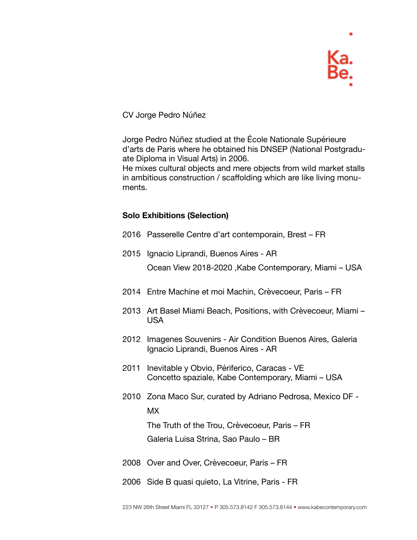

CV Jorge Pedro Núñez

Jorge Pedro Núñez studied at the École Nationale Supérieure d'arts de Paris where he obtained his DNSEP (National Postgraduate Diploma in Visual Arts) in 2006.

He mixes cultural objects and mere objects from wild market stalls in ambitious construction / scaffolding which are like living monuments.

## **Solo Exhibitions (Selection)**

- 2016 Passerelle Centre d'art contemporain, Brest FR
- 2015 Ignacio Liprandi, Buenos Aires AR

Ocean View 2018-2020 ,Kabe Contemporary, Miami – USA

- 2014 Entre Machine et moi Machin, Crèvecoeur, Paris FR
- 2013 Art Basel Miami Beach, Positions, with Crèvecoeur, Miami USA
- 2012 Imagenes Souvenirs Air Condition Buenos Aires, Galeria Ignacio Liprandi, Buenos Aires - AR
- 2011 Inevitable y Obvio, Périferico, Caracas VE Concetto spaziale, Kabe Contemporary, Miami – USA
- 2010 Zona Maco Sur, curated by Adriano Pedrosa, Mexico DF MX The Truth of the Trou, Crèvecoeur, Paris – FR

Galeria Luisa Strina, Sao Paulo – BR

- 2008 Over and Over, Crèvecoeur, Paris FR
- 2006 Side B quasi quieto, La Vitrine, Paris FR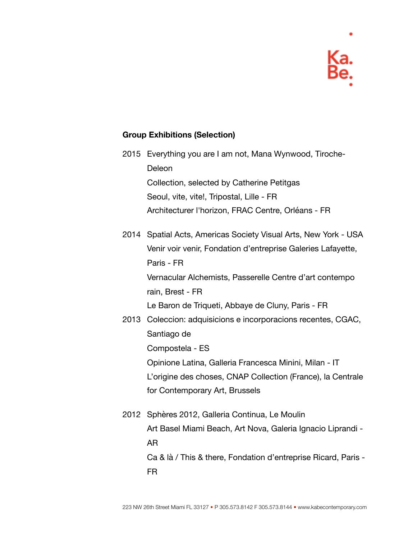## **Group Exhibitions (Selection)**

2015 Everything you are I am not, Mana Wynwood, Tiroche-Deleon Collection, selected by Catherine Petitgas Seoul, vite, vite!, Tripostal, Lille - FR Architecturer l'horizon, FRAC Centre, Orléans - FR

2014 Spatial Acts, Americas Society Visual Arts, New York - USA Venir voir venir, Fondation d'entreprise Galeries Lafayette, Paris - FR Vernacular Alchemists, Passerelle Centre d'art contempo rain, Brest - FR

Le Baron de Triqueti, Abbaye de Cluny, Paris - FR

- 2013 Coleccion: adquisicions e incorporacions recentes, CGAC, Santiago de Compostela - ES Opinione Latina, Galleria Francesca Minini, Milan - IT L'origine des choses, CNAP Collection (France), la Centrale for Contemporary Art, Brussels
- 2012 Sphères 2012, Galleria Continua, Le Moulin Art Basel Miami Beach, Art Nova, Galeria Ignacio Liprandi - AR Ca & là / This & there, Fondation d'entreprise Ricard, Paris - FR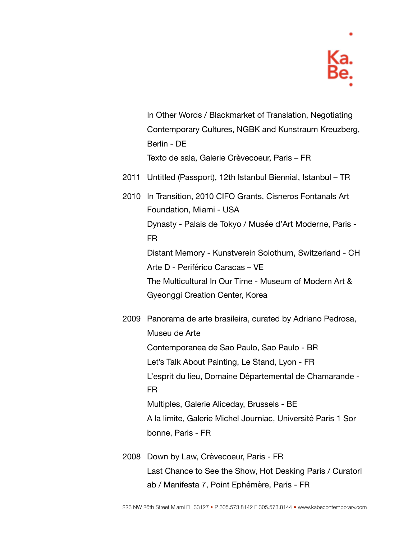

In Other Words / Blackmarket of Translation, Negotiating Contemporary Cultures, NGBK and Kunstraum Kreuzberg, Berlin - DE Texto de sala, Galerie Crèvecoeur, Paris – FR

- 2011 Untitled (Passport), 12th Istanbul Biennial, Istanbul TR
- 2010 In Transition, 2010 CIFO Grants, Cisneros Fontanals Art Foundation, Miami - USA Dynasty - Palais de Tokyo / Musée d'Art Moderne, Paris - FR Distant Memory - Kunstverein Solothurn, Switzerland - CH Arte D - Periférico Caracas – VE The Multicultural In Our Time - Museum of Modern Art & Gyeonggi Creation Center, Korea

2009 Panorama de arte brasileira, curated by Adriano Pedrosa, Museu de Arte Contemporanea de Sao Paulo, Sao Paulo - BR Let's Talk About Painting, Le Stand, Lyon - FR L'esprit du lieu, Domaine Départemental de Chamarande - FR Multiples, Galerie Aliceday, Brussels - BE A la limite, Galerie Michel Journiac, Université Paris 1 Sor bonne, Paris - FR

2008 Down by Law, Crèvecoeur, Paris - FR Last Chance to See the Show, Hot Desking Paris / Curatorl ab / Manifesta 7, Point Ephémère, Paris - FR